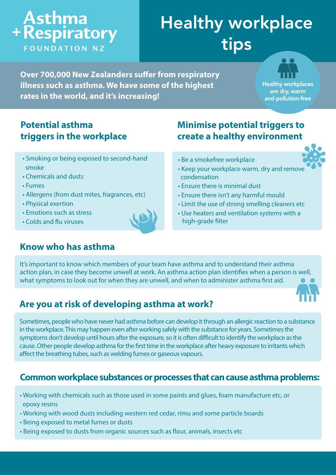# **Asthma**<br>+ Respiratory **FOUNDATION NZ**

# Healthy workplace tips

**Over 700,000 New Zealanders suffer from respiratory illness such as asthma. We have some of the highest rates in the world, and it's increasing!**

**Healthy workplaces** are dry, warm and pollution-free

### **Potential asthma triggers in the workplace**

- Smoking or being exposed to second-hand smoke
- Chemicals and dusts
- Fumes
- Allergens (from dust mites, fragrances, etc)
- Physical exertion
- Emotions such as stress
- Colds and flu viruses

#### **Know who has asthma**

### **Minimise potential triggers to create a healthy environment**

- Be a smokefree workplace
- 
- Keep your workplace warm, dry and remove condensation
- Ensure there is minimal dust
- Ensure there isn't any harmful mould
- Limit the use of strong smelling cleaners etc
- Use heaters and ventilation systems with a high-grade filter

It's important to know which members of your team have asthma and to understand their asthma action plan, in case they become unwell at work. An asthma action plan identifies when a person is well, what symptoms to look out for when they are unwell, and when to administer asthma first aid.

### **Are you at risk of developing asthma at work?**

Sometimes, people who have never had asthma before can develop it through an allergic reaction to a substance in the workplace. This may happen even after working safely with the substance for years. Sometimes the symptoms don't develop until hours after the exposure, so it is often difficult to identify the workplace as the cause. Other people develop asthma for the first time in the workplace after heavy exposure to irritants which

affect the breathing tubes, such as welding fumes or gaseous vapours.

#### **Common workplace substances or processes that can cause asthma problems:**

- Working with chemicals such as those used in some paints and glues, foam manufacture etc, or epoxy resins
- Working with wood dusts including western red cedar, rimu and some particle boards
- Being exposed to metal fumes or dusts
- Being exposed to dusts from organic sources such as flour, animals, insects etc